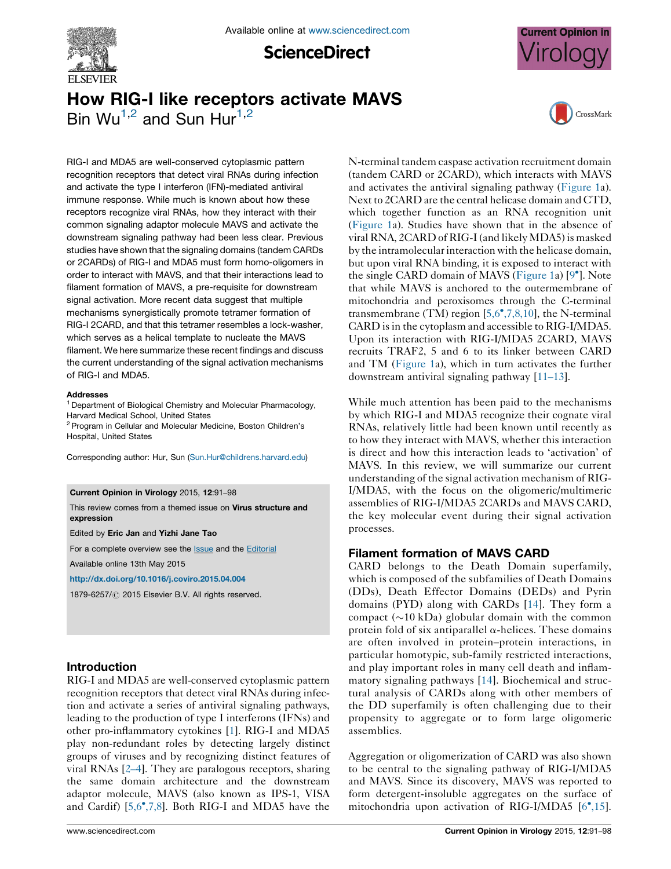

**ScienceDirect** 



# How RIG-I like receptors activate MAVS Bin  $Wu^{1,2}$  and Sun Hur<sup>1,2</sup>



RIG-I and MDA5 are well-conserved cytoplasmic pattern recognition receptors that detect viral RNAs during infection and activate the type I interferon (IFN)-mediated antiviral immune response. While much is known about how these receptors recognize viral RNAs, how they interact with their common signaling adaptor molecule MAVS and activate the downstream signaling pathway had been less clear. Previous studies have shown that the signaling domains (tandem CARDs or 2CARDs) of RIG-I and MDA5 must form homo-oligomers in order to interact with MAVS, and that their interactions lead to filament formation of MAVS, a pre-requisite for downstream signal activation. More recent data suggest that multiple mechanisms synergistically promote tetramer formation of RIG-I 2CARD, and that this tetramer resembles a lock-washer, which serves as a helical template to nucleate the MAVS filament. We here summarize these recent findings and discuss the current understanding of the signal activation mechanisms of RIG-I and MDA5.

#### Addresses

<sup>1</sup> Department of Biological Chemistry and Molecular Pharmacology, Harvard Medical School, United States

<sup>2</sup> Program in Cellular and Molecular Medicine, Boston Children's Hospital, United States

Corresponding author: Hur, Sun [\(Sun.Hur@childrens.harvard.edu](mailto:Sun.Hur@childrens.harvard.edu))

#### Current Opinion in Virology 2015, 12:91–98

This review comes from a themed issue on Virus structure and expression

Edited by Eric Jan and Yizhi Jane Tao

For a complete overview see the **[Issue](http://www.sciencedirect.com/science/journal/18796257/12)** and the **[Editorial](http://dx.doi.org/10.1016/j.coviro.2015.05.005)** 

Available online 13th May 2015

<http://dx.doi.org/10.1016/j.coviro.2015.04.004>

1879-6257/ 2015 Elsevier B.V. All rights reserved.

## Introduction

RIG-I and MDA5 are well-conserved cytoplasmic pattern recognition receptors that detect viral RNAs during infection and activate a series of antiviral signaling pathways, leading to the production of type I interferons (IFNs) and other pro-inflammatory cytokines [\[1](#page-6-0)]. RIG-I and MDA5 play non-redundant roles by detecting largely distinct groups of viruses and by recognizing distinct features of viral RNAs [\[2](#page-6-0)–4]. They are paralogous receptors, sharing the same domain architecture and the downstream adaptor molecule, MAVS (also known as IPS-1, VISA and Cardif)  $[5,6^\bullet,7,8]$  $[5,6^\bullet,7,8]$  $[5,6^\bullet,7,8]$ . Both RIG-I and MDA5 have the

N-terminal tandem caspase activation recruitment domain (tandem CARD or 2CARD), which interacts with MAVS and activates the antiviral signaling pathway [\(Figure](#page-1-0) 1a). Next to 2CARD are the central helicase domain and CTD, which together function as an RNA recognition unit [\(Figure](#page-1-0) 1a). Studies have shown that in the absence of viral RNA, 2CARD of RIG-I(and likely MDA5) is masked by the intramolecular interaction with the helicase domain, but upon viral RNA binding, it is exposed to interact with the single CARD domain of MAVS [\(Figure](#page-1-0) 1a) [\[9](#page-6-0)<sup>°</sup>]. Note that while MAVS is anchored to the outermembrane of mitochondria and peroxisomes through the C-terminal transmembrane (TM) region  $[5,6^{\bullet},7,8,10]$  $[5,6^{\bullet},7,8,10]$  $[5,6^{\bullet},7,8,10]$  $[5,6^{\bullet},7,8,10]$ , the N-terminal CARD is in the cytoplasm and accessible to RIG-I/MDA5. Upon its interaction with RIG-I/MDA5 2CARD, MAVS recruits TRAF2, 5 and 6 to its linker between CARD and TM [\(Figure](#page-1-0) 1a), which in turn activates the further downstream antiviral signaling pathway [11–[13](#page-6-0)].

While much attention has been paid to the mechanisms by which RIG-I and MDA5 recognize their cognate viral RNAs, relatively little had been known until recently as to how they interact with MAVS, whether this interaction is direct and how this interaction leads to 'activation' of MAVS. In this review, we will summarize our current understanding of the signal activation mechanism of RIG-I/MDA5, with the focus on the oligomeric/multimeric assemblies of RIG-I/MDA5 2CARDs and MAVS CARD, the key molecular event during their signal activation processes.

## Filament formation of MAVS CARD

CARD belongs to the Death Domain superfamily, which is composed of the subfamilies of Death Domains (DDs), Death Effector Domains (DEDs) and Pyrin domains (PYD) along with CARDs [[14\]](#page-6-0). They form a compact  $(\sim 10 \text{ kDa})$  globular domain with the common protein fold of six antiparallel  $\alpha$ -helices. These domains are often involved in protein–protein interactions, in particular homotypic, sub-family restricted interactions, and play important roles in many cell death and inflammatory signaling pathways [[14\]](#page-6-0). Biochemical and structural analysis of CARDs along with other members of the DD superfamily is often challenging due to their propensity to aggregate or to form large oligomeric assemblies.

Aggregation or oligomerization of CARD was also shown to be central to the signaling pathway of RIG-I/MDA5 and MAVS. Since its discovery, MAVS was reported to form detergent-insoluble aggregates on the surface of mitochondria upon activation of RIG-I/MDA5 [\[6](#page-6-0)°[,15\]](#page-6-0).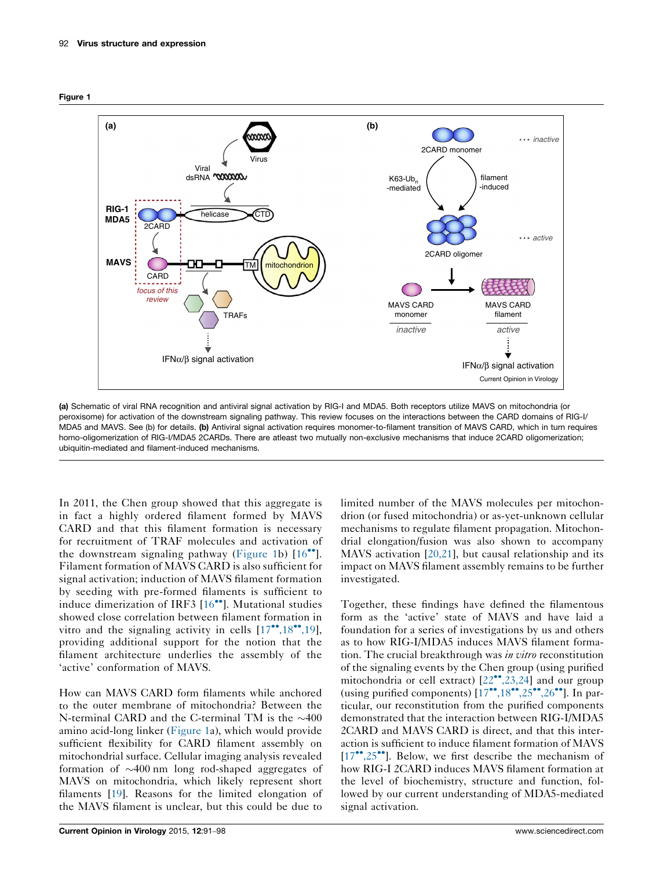<span id="page-1-0"></span>



(a) Schematic of viral RNA recognition and antiviral signal activation by RIG-I and MDA5. Both receptors utilize MAVS on mitochondria (or peroxisome) for activation of the downstream signaling pathway. This review focuses on the interactions between the CARD domains of RIG-I/ MDA5 and MAVS. See (b) for details. (b) Antiviral signal activation requires monomer-to-filament transition of MAVS CARD, which in turn requires homo-oligomerization of RIG-I/MDA5 2CARDs. There are atleast two mutually non-exclusive mechanisms that induce 2CARD oligomerization; ubiquitin-mediated and filament-induced mechanisms.

In 2011, the Chen group showed that this aggregate is in fact a highly ordered filament formed by MAVS CARD and that this filament formation is necessary for recruitment of TRAF molecules and activation of the downstream signaling pathway (Figure 1b)  $[16$  $[16$ <sup>\*</sup>. Filament formation of MAVS CARD is also sufficient for signal activation; induction of MAVS filament formation by seeding with pre-formed filaments is sufficient to induce dimerization of IRF3 [[16](#page-6-0)<sup>\*</sup>]. Mutational studies showed close correlation between filament formation in vitro and the signaling activity in cells  $[17^{\bullet\bullet}, 18^{\bullet\bullet}, 19]$  $[17^{\bullet\bullet}, 18^{\bullet\bullet}, 19]$ , providing additional support for the notion that the filament architecture underlies the assembly of the 'active' conformation of MAVS.

How can MAVS CARD form filaments while anchored to the outer membrane of mitochondria? Between the N-terminal CARD and the C-terminal TM is the  $\sim$ 400 amino acid-long linker (Figure 1a), which would provide sufficient flexibility for CARD filament assembly on mitochondrial surface. Cellular imaging analysis revealed formation of  $\sim$ 400 nm long rod-shaped aggregates of MAVS on mitochondria, which likely represent short filaments [\[19](#page-6-0)]. Reasons for the limited elongation of the MAVS filament is unclear, but this could be due to

limited number of the MAVS molecules per mitochondrion (or fused mitochondria) or as-yet-unknown cellular mechanisms to regulate filament propagation. Mitochondrial elongation/fusion was also shown to accompany MAVS activation [[20,21](#page-6-0)], but causal relationship and its impact on MAVS filament assembly remains to be further investigated.

Together, these findings have defined the filamentous form as the 'active' state of MAVS and have laid a foundation for a series of investigations by us and others as to how RIG-I/MDA5 induces MAVS filament formation. The crucial breakthrough was in vitro reconstitution of the signaling events by the Chen group (using purified mitochondria or cell extract) [[22](#page-6-0)<sup>••</sup>[,23,24](#page-6-0)] and our group (using purified components) [[17](#page-6-0)\*\*[,18](#page-6-0)\*\*[,25](#page-6-0)\*\*[,26](#page-6-0)\*\*]. In particular, our reconstitution from the purified components demonstrated that the interaction between RIG-I/MDA5 2CARD and MAVS CARD is direct, and that this interaction is sufficient to induce filament formation of MAVS [\[17](#page-6-0)\*\*[,25](#page-6-0)\*\*]. Below, we first describe the mechanism of how RIG-I 2CARD induces MAVS filament formation at the level of biochemistry, structure and function, followed by our current understanding of MDA5-mediated signal activation.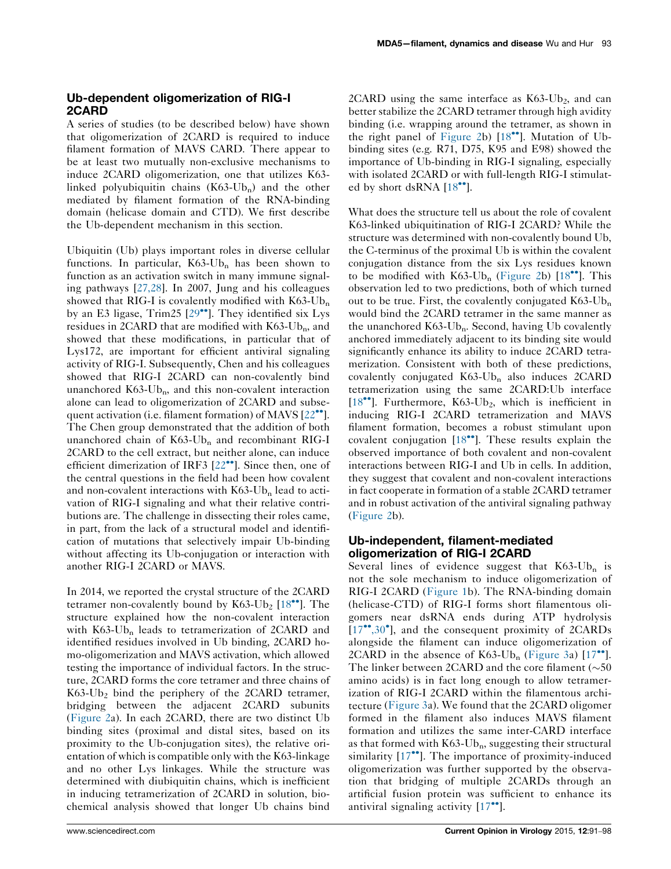# Ub-dependent oligomerization of RIG-I 2CARD

A series of studies (to be described below) have shown that oligomerization of 2CARD is required to induce filament formation of MAVS CARD. There appear to be at least two mutually non-exclusive mechanisms to induce 2CARD oligomerization, one that utilizes K63 linked polyubiquitin chains  $(K63-Ub_n)$  and the other mediated by filament formation of the RNA-binding domain (helicase domain and CTD). We first describe the Ub-dependent mechanism in this section.

Ubiquitin (Ub) plays important roles in diverse cellular functions. In particular,  $K63-Ub_n$  has been shown to function as an activation switch in many immune signaling pathways [\[27,28\]](#page-7-0). In 2007, Jung and his colleagues showed that RIG-I is covalently modified with  $K63$ -Ub<sub>n</sub> by an E3 ligase, Trim25 [\[29](#page-7-0)\*\*]. They identified six Lys residues in 2CARD that are modified with  $K63$ -Ub<sub>n</sub>, and showed that these modifications, in particular that of Lys172, are important for efficient antiviral signaling activity of RIG-I. Subsequently, Chen and his colleagues showed that RIG-I 2CARD can non-covalently bind unanchored  $K63-Ub_n$ , and this non-covalent interaction alone can lead to oligomerization of 2CARD and subse-quent activation (i.e. filament formation) of MAVS [[22](#page-6-0)<sup>\*\*</sup>]. The Chen group demonstrated that the addition of both unanchored chain of  $K63-Ub_n$  and recombinant RIG-I 2CARD to the cell extract, but neither alone, can induce efficient dimerization of IRF3  $[22^{\bullet\bullet}]$  $[22^{\bullet\bullet}]$ . Since then, one of the central questions in the field had been how covalent and non-covalent interactions with  $K63$ -Ub<sub>n</sub> lead to activation of RIG-I signaling and what their relative contributions are. The challenge in dissecting their roles came, in part, from the lack of a structural model and identification of mutations that selectively impair Ub-binding without affecting its Ub-conjugation or interaction with another RIG-I 2CARD or MAVS.

In 2014, we reported the crystal structure of the 2CARD tetramer non-covalently bound by  $K63$ -Ub<sub>2</sub> [[18](#page-6-0)<sup> $\bullet$ </sup>]. The structure explained how the non-covalent interaction with  $K63$ -Ub<sub>n</sub> leads to tetramerization of 2CARD and identified residues involved in Ub binding, 2CARD homo-oligomerization and MAVS activation, which allowed testing the importance of individual factors. In the structure, 2CARD forms the core tetramer and three chains of  $K63-Ub<sub>2</sub>$  bind the periphery of the 2CARD tetramer, bridging between the adjacent 2CARD subunits [\(Figure](#page-3-0) 2a). In each 2CARD, there are two distinct Ub binding sites (proximal and distal sites, based on its proximity to the Ub-conjugation sites), the relative orientation of which is compatible only with the K63-linkage and no other Lys linkages. While the structure was determined with diubiquitin chains, which is inefficient in inducing tetramerization of 2CARD in solution, biochemical analysis showed that longer Ub chains bind

2CARD using the same interface as  $K63-Ub<sub>2</sub>$ , and can better stabilize the 2CARD tetramer through high avidity binding (i.e. wrapping around the tetramer, as shown in the right panel of [Figure](#page-3-0) 2b) [[18](#page-6-0)<sup>\*</sup>]. Mutation of Ubbinding sites (e.g. R71, D75, K95 and E98) showed the importance of Ub-binding in RIG-I signaling, especially with isolated 2CARD or with full-length RIG-I stimulat-ed by short dsRNA [\[18](#page-6-0)\*\*].

What does the structure tell us about the role of covalent K63-linked ubiquitination of RIG-I 2CARD? While the structure was determined with non-covalently bound Ub, the C-terminus of the proximal Ub is within the covalent conjugation distance from the six Lys residues known to be modified with  $K63$ -Ub<sub>n</sub> ([Figure](#page-3-0) 2b) [[18](#page-6-0)<sup> $\bullet$ </sup>]. This observation led to two predictions, both of which turned out to be true. First, the covalently conjugated  $K63-Ub_n$ would bind the 2CARD tetramer in the same manner as the unanchored  $K63-Ub_n$ . Second, having Ub covalently anchored immediately adjacent to its binding site would significantly enhance its ability to induce 2CARD tetramerization. Consistent with both of these predictions, covalently conjugated  $K63-Ub_n$  also induces 2CARD tetramerization using the same 2CARD:Ub interface [[18](#page-6-0)<sup>••</sup>]. Furthermore, K63-Ub<sub>2</sub>, which is inefficient in inducing RIG-I 2CARD tetramerization and MAVS filament formation, becomes a robust stimulant upon covalent conjugation [\[18](#page-6-0)<sup>\*</sup>]. These results explain the observed importance of both covalent and non-covalent interactions between RIG-I and Ub in cells. In addition, they suggest that covalent and non-covalent interactions in fact cooperate in formation of a stable 2CARD tetramer and in robust activation of the antiviral signaling pathway ([Figure](#page-3-0) 2b).

### Ub-independent, filament-mediated oligomerization of RIG-I 2CARD

Several lines of evidence suggest that  $K63-Ub_n$  is not the sole mechanism to induce oligomerization of RIG-I 2CARD ([Figure](#page-1-0) 1b). The RNA-binding domain (helicase-CTD) of RIG-I forms short filamentous oligomers near dsRNA ends during ATP hydrolysis [[17](#page-6-0)\*\*[,30](#page-6-0)<sup>\*</sup>], and the consequent proximity of 2CARDs alongside the filament can induce oligomerization of 2CARD in the absence of  $K63$ -Ub<sub>n</sub> [\(Figure](#page-4-0) 3a) [[17](#page-6-0)<sup>\*\*</sup>]. The linker between 2CARD and the core filament ( $\sim 50$ ) amino acids) is in fact long enough to allow tetramerization of RIG-I 2CARD within the filamentous architecture [\(Figure](#page-4-0) 3a). We found that the 2CARD oligomer formed in the filament also induces MAVS filament formation and utilizes the same inter-CARD interface as that formed with  $K63-Ub_n$ , suggesting their structural similarity [\[17](#page-6-0)\*\*]. The importance of proximity-induced oligomerization was further supported by the observation that bridging of multiple 2CARDs through an artificial fusion protein was sufficient to enhance its antiviral signaling activity  $[17$ <sup>\*\*</sup>].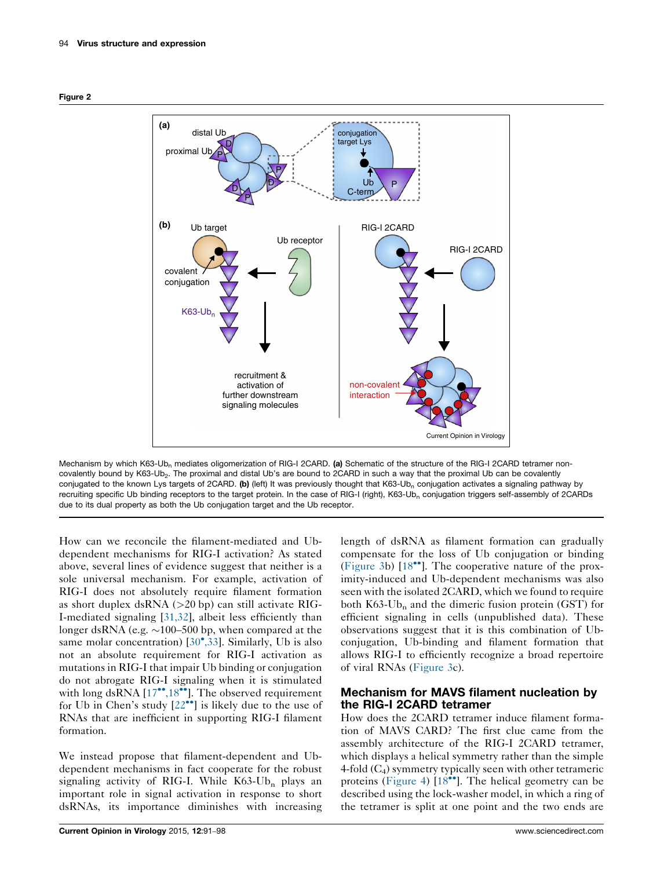<span id="page-3-0"></span>



Mechanism by which K63-Ub<sub>n</sub> mediates oligomerization of RIG-I 2CARD. (a) Schematic of the structure of the RIG-I 2CARD tetramer noncovalently bound by K63-Ub<sub>2</sub>. The proximal and distal Ub's are bound to 2CARD in such a way that the proximal Ub can be covalently conjugated to the known Lys targets of 2CARD. (b) (left) It was previously thought that K63-Ub<sub>n</sub> conjugation activates a signaling pathway by recruiting specific Ub binding receptors to the target protein. In the case of RIG-I (right), K63-Ub<sub>n</sub> conjugation triggers self-assembly of 2CARDs due to its dual property as both the Ub conjugation target and the Ub receptor.

How can we reconcile the filament-mediated and Ubdependent mechanisms for RIG-I activation? As stated above, several lines of evidence suggest that neither is a sole universal mechanism. For example, activation of RIG-I does not absolutely require filament formation as short duplex dsRNA (>20 bp) can still activate RIG-I-mediated signaling [[31,32](#page-7-0)], albeit less efficiently than longer dsRNA (e.g.  $\sim$ 100–500 bp, when compared at the same molar concentration) [\[30](#page-7-0)\*[,33](#page-7-0)]. Similarly, Ub is also not an absolute requirement for RIG-I activation as mutations in RIG-I that impair Ub binding or conjugation do not abrogate RIG-I signaling when it is stimulated with long dsRNA  $[17^{\bullet\bullet}, 18^{\bullet\bullet}]$  $[17^{\bullet\bullet}, 18^{\bullet\bullet}]$  $[17^{\bullet\bullet}, 18^{\bullet\bullet}]$ . The observed requirement for Ub in Chen's study  $[22^{\bullet\bullet}]$  $[22^{\bullet\bullet}]$  is likely due to the use of RNAs that are inefficient in supporting RIG-I filament formation.

We instead propose that filament-dependent and Ubdependent mechanisms in fact cooperate for the robust signaling activity of RIG-I. While  $K63$ -Ub<sub>n</sub> plays an important role in signal activation in response to short dsRNAs, its importance diminishes with increasing length of dsRNA as filament formation can gradually compensate for the loss of Ub conjugation or binding [\(Figure](#page-4-0) 3b) [\[18](#page-6-0)<sup>\*</sup>]. The cooperative nature of the proximity-induced and Ub-dependent mechanisms was also seen with the isolated 2CARD, which we found to require both  $K63$ -Ub<sub>n</sub> and the dimeric fusion protein (GST) for efficient signaling in cells (unpublished data). These observations suggest that it is this combination of Ubconjugation, Ub-binding and filament formation that allows RIG-I to efficiently recognize a broad repertoire of viral RNAs [\(Figure](#page-4-0) 3c).

## Mechanism for MAVS filament nucleation by the RIG-I 2CARD tetramer

How does the 2CARD tetramer induce filament formation of MAVS CARD? The first clue came from the assembly architecture of the RIG-I 2CARD tetramer, which displays a helical symmetry rather than the simple 4-fold  $(C_4)$  symmetry typically seen with other tetrameric proteins [\(Figure](#page-5-0) 4) [\[18](#page-6-0)<sup>\*</sup>]. The helical geometry can be described using the lock-washer model, in which a ring of the tetramer is split at one point and the two ends are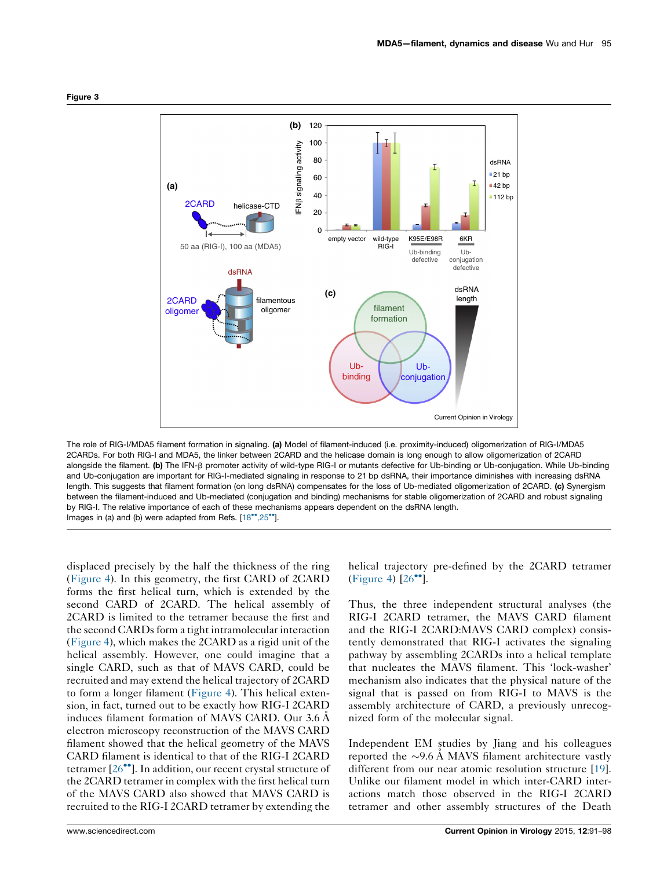

<span id="page-4-0"></span>Figure 3

The role of RIG-I/MDA5 filament formation in signaling. (a) Model of filament-induced (i.e. proximity-induced) oligomerization of RIG-I/MDA5 2CARDs. For both RIG-I and MDA5, the linker between 2CARD and the helicase domain is long enough to allow oligomerization of 2CARD alongside the filament. (b) The IFN-ß promoter activity of wild-type RIG-I or mutants defective for Ub-binding or Ub-conjugation. While Ub-binding and Ub-conjugation are important for RIG-I-mediated signaling in response to 21 bp dsRNA, their importance diminishes with increasing dsRNA length. This suggests that filament formation (on long dsRNA) compensates for the loss of Ub-mediated oligomerization of 2CARD. (c) Synergism between the filament-induced and Ub-mediated (conjugation and binding) mechanisms for stable oligomerization of 2CARD and robust signaling by RIG-I. The relative importance of each of these mechanisms appears dependent on the dsRNA length. Images in (a) and (b) were adapted from Refs. [\[18](#page-6-0)\*[,25](#page-6-0)\*'].

displaced precisely by the half the thickness of the ring [\(Figure](#page-5-0) 4). In this geometry, the first CARD of 2CARD forms the first helical turn, which is extended by the second CARD of 2CARD. The helical assembly of 2CARD is limited to the tetramer because the first and the second CARDs form a tight intramolecular interaction [\(Figure](#page-5-0) 4), which makes the 2CARD as a rigid unit of the helical assembly. However, one could imagine that a single CARD, such as that of MAVS CARD, could be recruited and may extend the helical trajectory of 2CARD to form a longer filament [\(Figure](#page-5-0) 4). This helical extension, in fact, turned out to be exactly how RIG-I 2CARD induces filament formation of MAVS CARD. Our 3.6 A electron microscopy reconstruction of the MAVS CARD filament showed that the helical geometry of the MAVS CARD filament is identical to that of the RIG-I 2CARD tetramer [[26](#page-7-0)<sup>••</sup>]. In addition, our recent crystal structure of the 2CARD tetramer in complex with the first helical turn of the MAVS CARD also showed that MAVS CARD is recruited to the RIG-I 2CARD tetramer by extending the

helical trajectory pre-defined by the 2CARD tetramer ([Figure](#page-5-0) 4)  $[26$ <sup>\*\*</sup>].

Thus, the three independent structural analyses (the RIG-I 2CARD tetramer, the MAVS CARD filament and the RIG-I 2CARD:MAVS CARD complex) consistently demonstrated that RIG-I activates the signaling pathway by assembling 2CARDs into a helical template that nucleates the MAVS filament. This 'lock-washer' mechanism also indicates that the physical nature of the signal that is passed on from RIG-I to MAVS is the assembly architecture of CARD, a previously unrecognized form of the molecular signal.

Independent EM studies by Jiang and his colleagues reported the  $\sim$ 9.6 Å MAVS filament architecture vastly different from our near atomic resolution structure [[19\]](#page-6-0). Unlike our filament model in which inter-CARD interactions match those observed in the RIG-I 2CARD tetramer and other assembly structures of the Death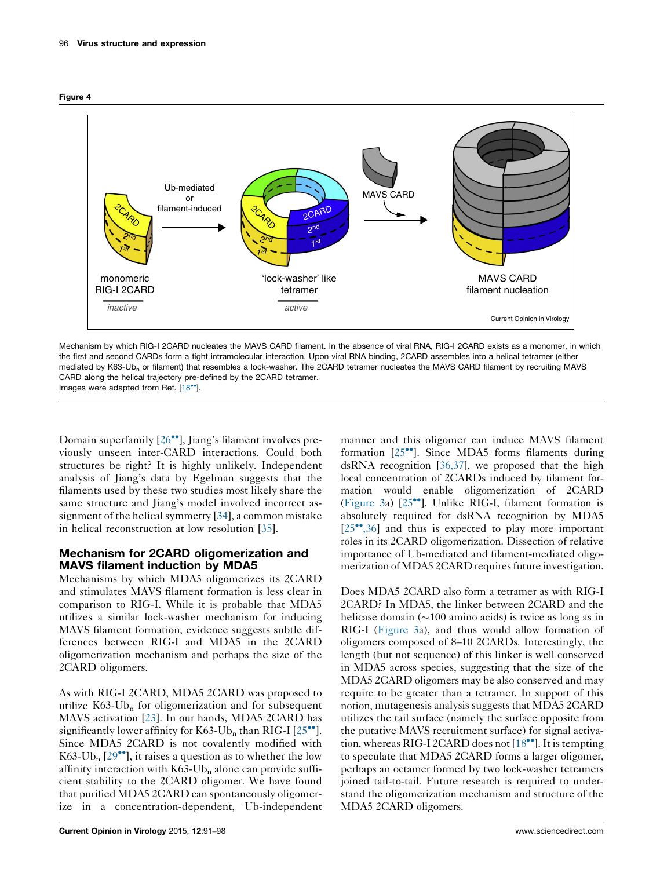<span id="page-5-0"></span>



Mechanism by which RIG-I 2CARD nucleates the MAVS CARD filament. In the absence of viral RNA, RIG-I 2CARD exists as a monomer, in which the first and second CARDs form a tight intramolecular interaction. Upon viral RNA binding, 2CARD assembles into a helical tetramer (either mediated by K63-Ub<sub>n</sub> or filament) that resembles a lock-washer. The 2CARD tetramer nucleates the MAVS CARD filament by recruiting MAVS CARD along the helical trajectory pre-defined by the 2CARD tetramer. Images were adapted from Ref. [[18](#page-6-0)<sup>\*</sup>].

Domain superfamily [\[26](#page-7-0)<sup>••</sup>], Jiang's filament involves previously unseen inter-CARD interactions. Could both structures be right? It is highly unlikely. Independent analysis of Jiang's data by Egelman suggests that the filaments used by these two studies most likely share the same structure and Jiang's model involved incorrect assignment of the helical symmetry [\[34](#page-7-0)], a common mistake in helical reconstruction at low resolution [[35\]](#page-7-0).

# Mechanism for 2CARD oligomerization and MAVS filament induction by MDA5

Mechanisms by which MDA5 oligomerizes its 2CARD and stimulates MAVS filament formation is less clear in comparison to RIG-I. While it is probable that MDA5 utilizes a similar lock-washer mechanism for inducing MAVS filament formation, evidence suggests subtle differences between RIG-I and MDA5 in the 2CARD oligomerization mechanism and perhaps the size of the 2CARD oligomers.

As with RIG-I 2CARD, MDA5 2CARD was proposed to utilize  $K63$ -Ub<sub>n</sub> for oligomerization and for subsequent MAVS activation [[23\]](#page-7-0). In our hands, MDA5 2CARD has significantly lower affinity for  $K63$ -Ub<sub>n</sub> than RIG-I [[25](#page-7-0)<sup> $\bullet$ </sup>]. Since MDA5 2CARD is not covalently modified with K63-Ub<sub>n</sub> [[29](#page-7-0)<sup> $\bullet$ </sup>], it raises a question as to whether the low affinity interaction with  $K63$ -Ub<sub>n</sub> alone can provide sufficient stability to the 2CARD oligomer. We have found that purified MDA5 2CARD can spontaneously oligomerize in a concentration-dependent, Ub-independent

manner and this oligomer can induce MAVS filament formation [\[25](#page-7-0)<sup>••</sup>]. Since MDA5 forms filaments during dsRNA recognition [[36,37\]](#page-7-0), we proposed that the high local concentration of 2CARDs induced by filament formation would enable oligomerization of 2CARD [\(Figure](#page-4-0) 3a) [\[25](#page-7-0)<sup>••</sup>]. Unlike RIG-I, filament formation is absolutely required for dsRNA recognition by MDA5 [\[25](#page-7-0)<sup>\*\*</sup>[,36\]](#page-7-0) and thus is expected to play more important roles in its 2CARD oligomerization. Dissection of relative importance of Ub-mediated and filament-mediated oligomerization of MDA5 2CARD requires future investigation.

Does MDA5 2CARD also form a tetramer as with RIG-I 2CARD? In MDA5, the linker between 2CARD and the helicase domain  $(\sim 100 \text{ amino acids})$  is twice as long as in RIG-I ([Figure](#page-4-0) 3a), and thus would allow formation of oligomers composed of 8–10 2CARDs. Interestingly, the length (but not sequence) of this linker is well conserved in MDA5 across species, suggesting that the size of the MDA5 2CARD oligomers may be also conserved and may require to be greater than a tetramer. In support of this notion, mutagenesis analysis suggests that MDA5 2CARD utilizes the tail surface (namely the surface opposite from the putative MAVS recruitment surface) for signal activa-tion, whereas RIG-I 2CARD does not [[18](#page-6-0)\*\*]. It is tempting to speculate that MDA5 2CARD forms a larger oligomer, perhaps an octamer formed by two lock-washer tetramers joined tail-to-tail. Future research is required to understand the oligomerization mechanism and structure of the MDA5 2CARD oligomers.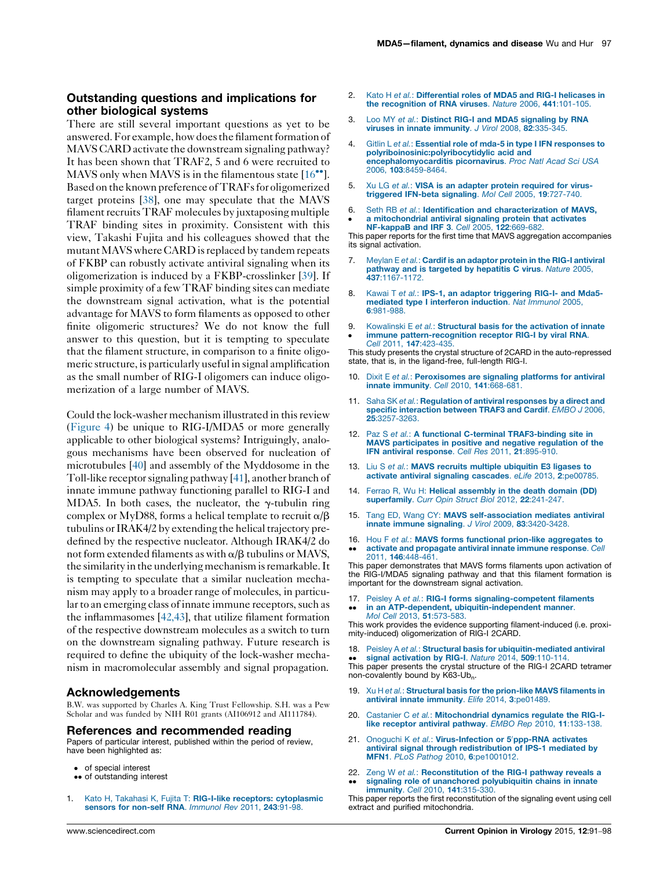## <span id="page-6-0"></span>Outstanding questions and implications for other biological systems

There are still several important questions as yet to be answered. For example, how does the filament formation of MAVS CARD activate the downstream signaling pathway? It has been shown that TRAF2, 5 and 6 were recruited to MAVS only when MAVS is in the filamentous state  $[16^{\bullet\bullet}].$ Based on the known preference of TRAFs for oligomerized target proteins [\[38](#page-7-0)], one may speculate that the MAVS filament recruits TRAF molecules by juxtaposing multiple TRAF binding sites in proximity. Consistent with this view, Takashi Fujita and his colleagues showed that the mutant MAVS where CARD is replaced by tandem repeats of FKBP can robustly activate antiviral signaling when its oligomerization is induced by a FKBP-crosslinker [[39\]](#page-7-0). If simple proximity of a few TRAF binding sites can mediate the downstream signal activation, what is the potential advantage for MAVS to form filaments as opposed to other finite oligomeric structures? We do not know the full answer to this question, but it is tempting to speculate that the filament structure, in comparison to a finite oligomeric structure, is particularly useful in signal amplification as the small number of RIG-I oligomers can induce oligomerization of a large number of MAVS.

Could the lock-washer mechanism illustrated in this review [\(Figure](#page-5-0) 4) be unique to RIG-I/MDA5 or more generally applicable to other biological systems? Intriguingly, analogous mechanisms have been observed for nucleation of microtubules [\[40\]](#page-7-0) and assembly of the Myddosome in the Toll-like receptor signaling pathway [\[41\]](#page-7-0), another branch of innate immune pathway functioning parallel to RIG-I and MDA5. In both cases, the nucleator, the  $\gamma$ -tubulin ring complex or MyD88, forms a helical template to recruit  $\alpha/\beta$ tubulins or IRAK4/2 by extending the helical trajectory predefined by the respective nucleator. Although IRAK4/2 do not form extended filaments as with  $\alpha/\beta$  tubulins or MAVS, the similarity in the underlying mechanism is remarkable. It is tempting to speculate that a similar nucleation mechanism may apply to a broader range of molecules, in particular to an emerging class of innate immune receptors, such as the inflammasomes [[42,43\]](#page-7-0), that utilize filament formation of the respective downstream molecules as a switch to turn on the downstream signaling pathway. Future research is required to define the ubiquity of the lock-washer mechanism in macromolecular assembly and signal propagation.

#### Acknowledgements

B.W. was supported by Charles A. King Trust Fellowship. S.H. was a Pew Scholar and was funded by NIH R01 grants (AI106912 and AI111784).

#### References and recommended reading

Papers of particular interest, published within the period of review, have been highlighted as:

- of special interest
- •• of outstanding interest
- Kato H, Takahasi K, Fujita T: RIG-I-like receptors: [cytoplasmic](http://refhub.elsevier.com/S1879-6257(15)00054-1/sbref0220) sensors for [non-self](http://refhub.elsevier.com/S1879-6257(15)00054-1/sbref0220) RNA. Immunol Rev 2011, 243:91-98.
- Kato H et al.: [Differential](http://refhub.elsevier.com/S1879-6257(15)00054-1/sbref0225) roles of MDA5 and RIG-I helicases in the [recognition](http://refhub.elsevier.com/S1879-6257(15)00054-1/sbref0225) of RNA viruses. Nature 2006, 441:101-105.
- Loo MY et al.: Distinct RIG-I and MDA5 [signaling](http://refhub.elsevier.com/S1879-6257(15)00054-1/sbref0230) by RNA viruses in innate [immunity](http://refhub.elsevier.com/S1879-6257(15)00054-1/sbref0230). J Virol 2008, 82:335-345.
- 4. Gitlin L et al.: Essential role of mda-5 in type I IFN [responses](http://refhub.elsevier.com/S1879-6257(15)00054-1/sbref0235) to [polyriboinosinic:polyribocytidylic](http://refhub.elsevier.com/S1879-6257(15)00054-1/sbref0235) acid and [encephalomyocarditis](http://refhub.elsevier.com/S1879-6257(15)00054-1/sbref0235) picornavirus. Proc Natl Acad Sci USA 2006, 103[:8459-8464.](http://refhub.elsevier.com/S1879-6257(15)00054-1/sbref0235)
- 5. Xu LG et al.: VISA is an adapter protein [required](http://refhub.elsevier.com/S1879-6257(15)00054-1/sbref0240) for virus[triggered](http://refhub.elsevier.com/S1879-6257(15)00054-1/sbref0240) IFN-beta signaling. Mol Cell 2005, 19:727-740.
- 6. Seth RB et al.: Identification and [characterization](http://refhub.elsevier.com/S1879-6257(15)00054-1/sbref0245) of MAVS. a [mitochondrial](http://refhub.elsevier.com/S1879-6257(15)00054-1/sbref0245) antiviral signaling protein that activates [NF-kappaB](http://refhub.elsevier.com/S1879-6257(15)00054-1/sbref0245) and IRF 3. Cell 2005, 122:669-682.

This paper reports for the first time that MAVS aggregation accompanies its signal activation.

- 7. Meylan E et al.: Cardif is an [adaptor](http://refhub.elsevier.com/S1879-6257(15)00054-1/sbref0250) protein in the RIG-I antiviral pathway and is targeted by [hepatitis](http://refhub.elsevier.com/S1879-6257(15)00054-1/sbref0250) C virus. Nature 2005, 437[:1167-1172.](http://refhub.elsevier.com/S1879-6257(15)00054-1/sbref0250)
- 8. Kawai T et al.: IPS-1, an adaptor [triggering](http://refhub.elsevier.com/S1879-6257(15)00054-1/sbref0255) RIG-I- and Mda5mediated type I [interferon](http://refhub.elsevier.com/S1879-6257(15)00054-1/sbref0255) induction. Nat Immunol 2005, 6[:981-988.](http://refhub.elsevier.com/S1879-6257(15)00054-1/sbref0255)
- 9. -[Kowalinski](http://refhub.elsevier.com/S1879-6257(15)00054-1/sbref0260) E et al.: Structural basis for the activation of innate immune [pattern-recognition](http://refhub.elsevier.com/S1879-6257(15)00054-1/sbref0260) receptor RIG-I by viral RNA

Cell 2011, 147[:423-435.](http://refhub.elsevier.com/S1879-6257(15)00054-1/sbref0260) This study presents the crystal structure of 2CARD in the auto-repressed state, that is, in the ligand-free, full-length RIG-I.

- 10. Dixit E et al.: [Peroxisomes](http://refhub.elsevier.com/S1879-6257(15)00054-1/sbref0265) are signaling platforms for antiviral innate [immunity](http://refhub.elsevier.com/S1879-6257(15)00054-1/sbref0265). Cell 2010, 141:668-681.
- 11. Saha SK et al.: [Regulation](http://refhub.elsevier.com/S1879-6257(15)00054-1/sbref0270) of antiviral responses by a direct and specific [interaction](http://refhub.elsevier.com/S1879-6257(15)00054-1/sbref0270) between TRAF3 and Cardif. EMBO J 2006. 25[:3257-3263.](http://refhub.elsevier.com/S1879-6257(15)00054-1/sbref0270)
- 12. Paz S et al.: A functional C-terminal [TRAF3-binding](http://refhub.elsevier.com/S1879-6257(15)00054-1/sbref0275) site in MAVS [participates](http://refhub.elsevier.com/S1879-6257(15)00054-1/sbref0275) in positive and negative regulation of the IFN antiviral [response](http://refhub.elsevier.com/S1879-6257(15)00054-1/sbref0275). Cell Res 2011, 21:895-910.
- 13. Liu S et al.: MAVS recruits multiple [ubiquitin](http://refhub.elsevier.com/S1879-6257(15)00054-1/sbref0280) E3 ligases to activate antiviral signaling [cascades](http://refhub.elsevier.com/S1879-6257(15)00054-1/sbref0280). eLife 2013, 2:pe00785.
- 14. Ferrao R, Wu H: Helical [assembly](http://refhub.elsevier.com/S1879-6257(15)00054-1/sbref0285) in the death domain (DD) [superfamily](http://refhub.elsevier.com/S1879-6257(15)00054-1/sbref0285). Curr Opin Struct Biol 2012, 22:241-247.
- 15. Tang ED, Wang CY: MAVS [self-association](http://refhub.elsevier.com/S1879-6257(15)00054-1/sbref0290) mediates antiviral innate immune signaling. J Virol 2009, 83[:3420-3428.](http://refhub.elsevier.com/S1879-6257(15)00054-1/sbref0290)
- 16. Hou F et al.: MAVS forms functional prion-like [aggregates](http://refhub.elsevier.com/S1879-6257(15)00054-1/sbref0295) to -activate and [propagate](http://refhub.elsevier.com/S1879-6257(15)00054-1/sbref0295) antiviral innate immune response. Cell 2011, 146[:448-461.](http://refhub.elsevier.com/S1879-6257(15)00054-1/sbref0295)

This paper demonstrates that MAVS forms filaments upon activation of the RIG-I/MDA5 signaling pathway and that this filament formation is important for the downstream signal activation.

17. -Peisley A et al.: RIG-I forms [signaling-competent](http://refhub.elsevier.com/S1879-6257(15)00054-1/sbref0300) filaments in an ATP-dependent, [ubiquitin-independent](http://refhub.elsevier.com/S1879-6257(15)00054-1/sbref0300) manner. Mol Cell 2013, 51[:573-583.](http://refhub.elsevier.com/S1879-6257(15)00054-1/sbref0300)

This work provides the evidence supporting filament-induced (i.e. proximity-induced) oligomerization of RIG-I 2CARD.

18. Peisley A et al.: Structural basis for [ubiquitin-mediated](http://refhub.elsevier.com/S1879-6257(15)00054-1/sbref0305) antiviral signal [activation](http://refhub.elsevier.com/S1879-6257(15)00054-1/sbref0305) by RIG-I. Nature 2014, 509:110-114

• signal activation by RIG-I. Nature 2014, 509:110-114.<br>This paper presents the crystal structure of the RIG-I 2CARD tetramer non-covalently bound by K63-Ub<sub>n</sub>.

- 19. Xu H et al.: [Structural](http://refhub.elsevier.com/S1879-6257(15)00054-1/sbref0310) basis for the prion-like MAVS filaments in antiviral innate immunity. Elife 2014, 3[:pe01489.](http://refhub.elsevier.com/S1879-6257(15)00054-1/sbref0310)
- 20. Castanier C et al.: [Mitochondrial](http://refhub.elsevier.com/S1879-6257(15)00054-1/sbref0315) dynamics regulate the RIG-I-like receptor antiviral pathway. EMBO Rep 2010, 11[:133-138.](http://refhub.elsevier.com/S1879-6257(15)00054-1/sbref0315)
- 21. Onoguchi K et al.: [Virus-Infection](http://refhub.elsevier.com/S1879-6257(15)00054-1/sbref0320) or 5'[ppp-RNA](http://refhub.elsevier.com/S1879-6257(15)00054-1/sbref0320) activates antiviral signal through [redistribution](http://refhub.elsevier.com/S1879-6257(15)00054-1/sbref0320) of IPS-1 mediated by MFN1. PLoS Pathog 2010, 6[:pe1001012.](http://refhub.elsevier.com/S1879-6257(15)00054-1/sbref0320)
- 22. Zeng W et al.: [Reconstitution](http://refhub.elsevier.com/S1879-6257(15)00054-1/sbref0325) of the RIG-I pathway reveals a -signaling role of unanchored [polyubiquitin](http://refhub.elsevier.com/S1879-6257(15)00054-1/sbref0325) chains in innate [immunity](http://refhub.elsevier.com/S1879-6257(15)00054-1/sbref0325). Cell 2010, 141:315-330.

This paper reports the first reconstitution of the signaling event using cell extract and purified mitochondria.